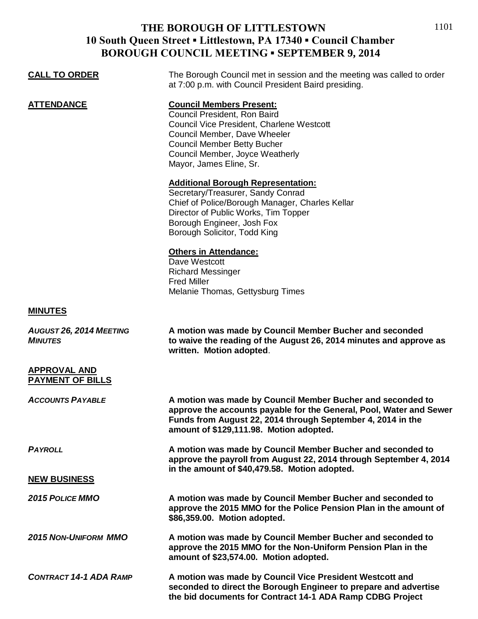## **THE BOROUGH OF LITTLESTOWN 10 South Queen Street ▪ Littlestown, PA 17340 ▪ Council Chamber BOROUGH COUNCIL MEETING ▪ SEPTEMBER 9, 2014**

| <b>CALL TO ORDER</b>                           | The Borough Council met in session and the meeting was called to order<br>at 7:00 p.m. with Council President Baird presiding.                                                                                                                   |
|------------------------------------------------|--------------------------------------------------------------------------------------------------------------------------------------------------------------------------------------------------------------------------------------------------|
| <b>ATTENDANCE</b>                              | <b>Council Members Present:</b><br>Council President, Ron Baird<br>Council Vice President, Charlene Westcott<br>Council Member, Dave Wheeler<br><b>Council Member Betty Bucher</b><br>Council Member, Joyce Weatherly<br>Mayor, James Eline, Sr. |
|                                                | <b>Additional Borough Representation:</b><br>Secretary/Treasurer, Sandy Conrad<br>Chief of Police/Borough Manager, Charles Kellar<br>Director of Public Works, Tim Topper<br>Borough Engineer, Josh Fox<br>Borough Solicitor, Todd King          |
|                                                | <b>Others in Attendance:</b><br>Dave Westcott<br><b>Richard Messinger</b><br><b>Fred Miller</b><br>Melanie Thomas, Gettysburg Times                                                                                                              |
| <b>MINUTES</b>                                 |                                                                                                                                                                                                                                                  |
| AUGUST 26, 2014 MEETING<br><b>MINUTES</b>      | A motion was made by Council Member Bucher and seconded<br>to waive the reading of the August 26, 2014 minutes and approve as<br>written. Motion adopted.                                                                                        |
| <b>APPROVAL AND</b><br><b>PAYMENT OF BILLS</b> |                                                                                                                                                                                                                                                  |
| <b>ACCOUNTS PAYABLE</b>                        | A motion was made by Council Member Bucher and seconded to<br>approve the accounts payable for the General, Pool, Water and Sewer<br>Funds from August 22, 2014 through September 4, 2014 in the<br>amount of \$129,111.98. Motion adopted.      |
| <b>PAYROLL</b>                                 | A motion was made by Council Member Bucher and seconded to<br>approve the payroll from August 22, 2014 through September 4, 2014<br>in the amount of \$40,479.58. Motion adopted.                                                                |
| <b>NEW BUSINESS</b>                            |                                                                                                                                                                                                                                                  |
| <b>2015 POLICE MMO</b>                         | A motion was made by Council Member Bucher and seconded to<br>approve the 2015 MMO for the Police Pension Plan in the amount of<br>\$86,359.00. Motion adopted.                                                                                  |
| <b>2015 NON-UNIFORM MMO</b>                    | A motion was made by Council Member Bucher and seconded to<br>approve the 2015 MMO for the Non-Uniform Pension Plan in the<br>amount of \$23,574.00. Motion adopted.                                                                             |
| <b>CONTRACT 14-1 ADA RAMP</b>                  | A motion was made by Council Vice President Westcott and<br>seconded to direct the Borough Engineer to prepare and advertise<br>the bid documents for Contract 14-1 ADA Ramp CDBG Project                                                        |